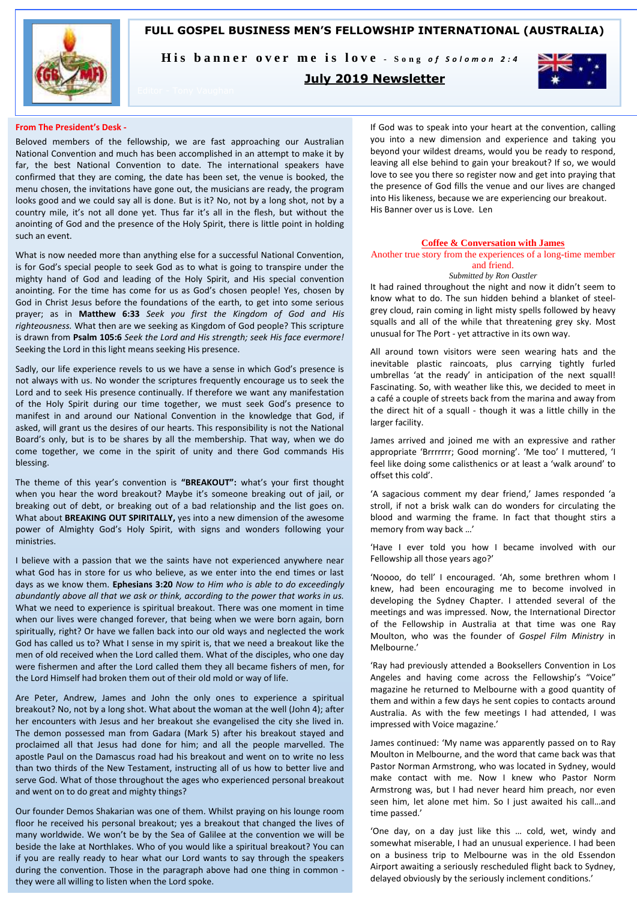

**FULL GOSPEL BUSINESS MEN'S FELLOWSHIP INTERNATIONAL (AUSTRALIA)**

His banner over me is love - Song of Solomon 2:4

## **July 2019 Newsletter**



### **From The President's Desk -**

Beloved members of the fellowship, we are fast approaching our Australian National Convention and much has been accomplished in an attempt to make it by far, the best National Convention to date. The international speakers have confirmed that they are coming, the date has been set, the venue is booked, the menu chosen, the invitations have gone out, the musicians are ready, the program looks good and we could say all is done. But is it? No, not by a long shot, not by a country mile, it's not all done yet. Thus far it's all in the flesh, but without the anointing of God and the presence of the Holy Spirit, there is little point in holding such an event.

What is now needed more than anything else for a successful National Convention, is for God's special people to seek God as to what is going to transpire under the mighty hand of God and leading of the Holy Spirit, and His special convention anointing. For the time has come for us as God's chosen people! Yes, chosen by God in Christ Jesus before the foundations of the earth, to get into some serious prayer; as in **Matthew 6:33** *Seek you first the Kingdom of God and His righteousness.* What then are we seeking as Kingdom of God people? This scripture is drawn from **Psalm 105:6** *Seek the Lord and His strength; seek His face evermore!*  Seeking the Lord in this light means seeking His presence.

Sadly, our life experience revels to us we have a sense in which God's presence is not always with us. No wonder the scriptures frequently encourage us to seek the Lord and to seek His presence continually. If therefore we want any manifestation of the Holy Spirit during our time together, we must seek God's presence to manifest in and around our National Convention in the knowledge that God, if asked, will grant us the desires of our hearts. This responsibility is not the National Board's only, but is to be shares by all the membership. That way, when we do come together, we come in the spirit of unity and there God commands His blessing.

The theme of this year's convention is **"BREAKOUT":** what's your first thought when you hear the word breakout? Maybe it's someone breaking out of jail, or breaking out of debt, or breaking out of a bad relationship and the list goes on. What about **BREAKING OUT SPIRITALLY,** yes into a new dimension of the awesome power of Almighty God's Holy Spirit, with signs and wonders following your ministries.

I believe with a passion that we the saints have not experienced anywhere near what God has in store for us who believe, as we enter into the end times or last days as we know them. **Ephesians 3:20** *Now to Him who is able to do exceedingly abundantly above all that we ask or think, according to the power that works in us.* What we need to experience is spiritual breakout. There was one moment in time when our lives were changed forever, that being when we were born again, born spiritually, right? Or have we fallen back into our old ways and neglected the work God has called us to? What I sense in my spirit is, that we need a breakout like the men of old received when the Lord called them. What of the disciples, who one day were fishermen and after the Lord called them they all became fishers of men, for the Lord Himself had broken them out of their old mold or way of life.

Are Peter, Andrew, James and John the only ones to experience a spiritual breakout? No, not by a long shot. What about the woman at the well (John 4); after her encounters with Jesus and her breakout she evangelised the city she lived in. The demon possessed man from Gadara (Mark 5) after his breakout stayed and proclaimed all that Jesus had done for him; and all the people marvelled. The apostle Paul on the Damascus road had his breakout and went on to write no less than two thirds of the New Testament, instructing all of us how to better live and serve God. What of those throughout the ages who experienced personal breakout and went on to do great and mighty things?

Our founder Demos Shakarian was one of them. Whilst praying on his lounge room floor he received his personal breakout; yes a breakout that changed the lives of many worldwide. We won't be by the Sea of Galilee at the convention we will be beside the lake at Northlakes. Who of you would like a spiritual breakout? You can if you are really ready to hear what our Lord wants to say through the speakers during the convention. Those in the paragraph above had one thing in common they were all willing to listen when the Lord spoke.

If God was to speak into your heart at the convention, calling you into a new dimension and experience and taking you beyond your wildest dreams, would you be ready to respond, leaving all else behind to gain your breakout? If so, we would love to see you there so register now and get into praying that the presence of God fills the venue and our lives are changed into His likeness, because we are experiencing our breakout. His Banner over us is Love. Len

### **Coffee & Conversation with James**

Another true story from the experiences of a long-time member and friend.

## *Submitted by Ron Oastler*

It had rained throughout the night and now it didn't seem to know what to do. The sun hidden behind a blanket of steelgrey cloud, rain coming in light misty spells followed by heavy squalls and all of the while that threatening grey sky. Most unusual for The Port - yet attractive in its own way.

All around town visitors were seen wearing hats and the inevitable plastic raincoats, plus carrying tightly furled umbrellas 'at the ready' in anticipation of the next squall! Fascinating. So, with weather like this, we decided to meet in a café a couple of streets back from the marina and away from the direct hit of a squall - though it was a little chilly in the larger facility.

James arrived and joined me with an expressive and rather appropriate 'Brrrrrrr; Good morning'. 'Me too' I muttered, 'I feel like doing some calisthenics or at least a 'walk around' to offset this cold'.

'A sagacious comment my dear friend,' James responded 'a stroll, if not a brisk walk can do wonders for circulating the blood and warming the frame. In fact that thought stirs a memory from way back …'

'Have I ever told you how I became involved with our Fellowship all those years ago?'

'Noooo, do tell' I encouraged. 'Ah, some brethren whom I knew, had been encouraging me to become involved in developing the Sydney Chapter. I attended several of the meetings and was impressed. Now, the International Director of the Fellowship in Australia at that time was one Ray Moulton, who was the founder of *Gospel Film Ministry* in Melbourne.'

'Ray had previously attended a Booksellers Convention in Los Angeles and having come across the Fellowship's "Voice" magazine he returned to Melbourne with a good quantity of them and within a few days he sent copies to contacts around Australia. As with the few meetings I had attended, I was impressed with Voice magazine.'

James continued: 'My name was apparently passed on to Ray Moulton in Melbourne, and the word that came back was that Pastor Norman Armstrong, who was located in Sydney, would make contact with me. Now I knew who Pastor Norm Armstrong was, but I had never heard him preach, nor even seen him, let alone met him. So I just awaited his call…and time passed.'

'One day, on a day just like this … cold, wet, windy and somewhat miserable, I had an unusual experience. I had been on a business trip to Melbourne was in the old Essendon Airport awaiting a seriously rescheduled flight back to Sydney, delayed obviously by the seriously inclement conditions.'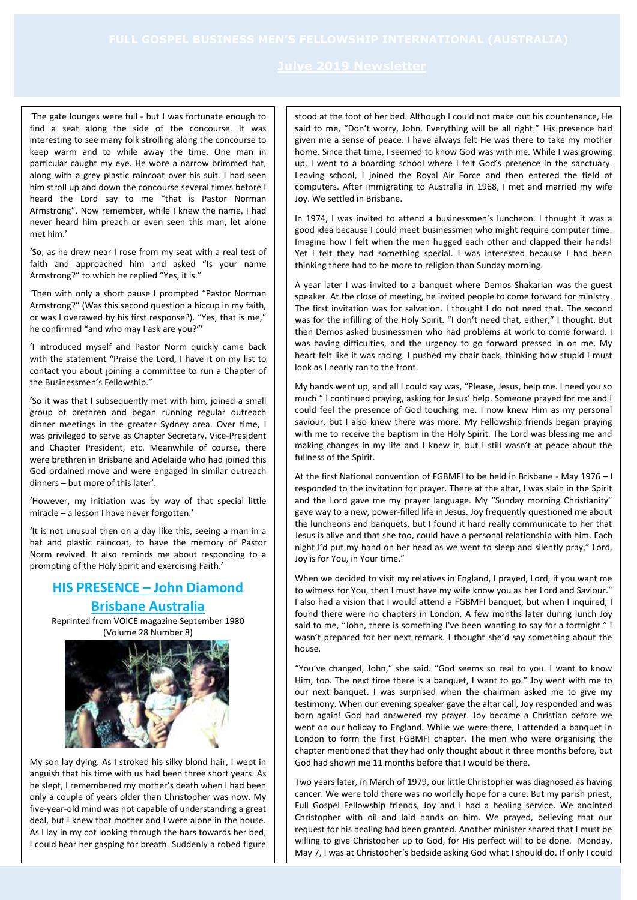'The gate lounges were full - but I was fortunate enough to find a seat along the side of the concourse. It was interesting to see many folk strolling along the concourse to keep warm and to while away the time. One man in particular caught my eye. He wore a narrow brimmed hat, along with a grey plastic raincoat over his suit. I had seen him stroll up and down the concourse several times before I heard the Lord say to me "that is Pastor Norman Armstrong". Now remember, while I knew the name, I had never heard him preach or even seen this man, let alone met him.'

'So, as he drew near I rose from my seat with a real test of faith and approached him and asked "Is your name Armstrong?" to which he replied "Yes, it is."

'Then with only a short pause I prompted "Pastor Norman Armstrong?" (Was this second question a hiccup in my faith, or was I overawed by his first response?). "Yes, that is me," he confirmed "and who may I ask are you?"'

'I introduced myself and Pastor Norm quickly came back with the statement "Praise the Lord, I have it on my list to contact you about joining a committee to run a Chapter of the Businessmen's Fellowship."

'So it was that I subsequently met with him, joined a small group of brethren and began running regular outreach dinner meetings in the greater Sydney area. Over time, I was privileged to serve as Chapter Secretary, Vice-President and Chapter President, etc. Meanwhile of course, there were brethren in Brisbane and Adelaide who had joined this God ordained move and were engaged in similar outreach dinners – but more of this later'.

'However, my initiation was by way of that special little miracle – a lesson I have never forgotten.'

'It is not unusual then on a day like this, seeing a man in a hat and plastic raincoat, to have the memory of Pastor Norm revived. It also reminds me about responding to a prompting of the Holy Spirit and exercising Faith.'

## **HIS PRESENCE – John Diamond Brisbane Australia**

Reprinted from VOICE magazine September 1980 (Volume 28 Number 8)



My son lay dying. As I stroked his silky blond hair, I wept in anguish that his time with us had been three short years. As he slept, I remembered my mother's death when I had been only a couple of years older than Christopher was now. My five-year-old mind was not capable of understanding a great deal, but I knew that mother and I were alone in the house. As I lay in my cot looking through the bars towards her bed, I could hear her gasping for breath. Suddenly a robed figure

stood at the foot of her bed. Although I could not make out his countenance, He said to me, "Don't worry, John. Everything will be all right." His presence had given me a sense of peace. I have always felt He was there to take my mother home. Since that time, I seemed to know God was with me. While I was growing up, I went to a boarding school where I felt God's presence in the sanctuary. Leaving school, I joined the Royal Air Force and then entered the field of computers. After immigrating to Australia in 1968, I met and married my wife Joy. We settled in Brisbane.

In 1974, I was invited to attend a businessmen's luncheon. I thought it was a good idea because I could meet businessmen who might require computer time. Imagine how I felt when the men hugged each other and clapped their hands! Yet I felt they had something special. I was interested because I had been thinking there had to be more to religion than Sunday morning.

A year later I was invited to a banquet where Demos Shakarian was the guest speaker. At the close of meeting, he invited people to come forward for ministry. The first invitation was for salvation. I thought I do not need that. The second was for the infilling of the Holy Spirit. "I don't need that, either," I thought. But then Demos asked businessmen who had problems at work to come forward. I was having difficulties, and the urgency to go forward pressed in on me. My heart felt like it was racing. I pushed my chair back, thinking how stupid I must look as I nearly ran to the front.

My hands went up, and all I could say was, "Please, Jesus, help me. I need you so much." I continued praying, asking for Jesus' help. Someone prayed for me and I could feel the presence of God touching me. I now knew Him as my personal saviour, but I also knew there was more. My Fellowship friends began praying with me to receive the baptism in the Holy Spirit. The Lord was blessing me and making changes in my life and I knew it, but I still wasn't at peace about the fullness of the Spirit.

At the first National convention of FGBMFI to be held in Brisbane - May 1976 – I responded to the invitation for prayer. There at the altar, I was slain in the Spirit and the Lord gave me my prayer language. My "Sunday morning Christianity" gave way to a new, power-filled life in Jesus. Joy frequently questioned me about the luncheons and banquets, but I found it hard really communicate to her that Jesus is alive and that she too, could have a personal relationship with him. Each night I'd put my hand on her head as we went to sleep and silently pray," Lord, Joy is for You, in Your time."

When we decided to visit my relatives in England, I prayed, Lord, if you want me to witness for You, then I must have my wife know you as her Lord and Saviour." I also had a vision that I would attend a FGBMFI banquet, but when I inquired, I found there were no chapters in London. A few months later during lunch Joy said to me, "John, there is something I've been wanting to say for a fortnight." I wasn't prepared for her next remark. I thought she'd say something about the house.

"You've changed, John," she said. "God seems so real to you. I want to know Him, too. The next time there is a banquet, I want to go." Joy went with me to our next banquet. I was surprised when the chairman asked me to give my testimony. When our evening speaker gave the altar call, Joy responded and was born again! God had answered my prayer. Joy became a Christian before we went on our holiday to England. While we were there, I attended a banquet in London to form the first FGBMFI chapter. The men who were organising the chapter mentioned that they had only thought about it three months before, but God had shown me 11 months before that I would be there.

Two years later, in March of 1979, our little Christopher was diagnosed as having cancer. We were told there was no worldly hope for a cure. But my parish priest, Full Gospel Fellowship friends, Joy and I had a healing service. We anointed Christopher with oil and laid hands on him. We prayed, believing that our request for his healing had been granted. Another minister shared that I must be willing to give Christopher up to God, for His perfect will to be done. Monday, May 7, I was at Christopher's bedside asking God what I should do. If only I could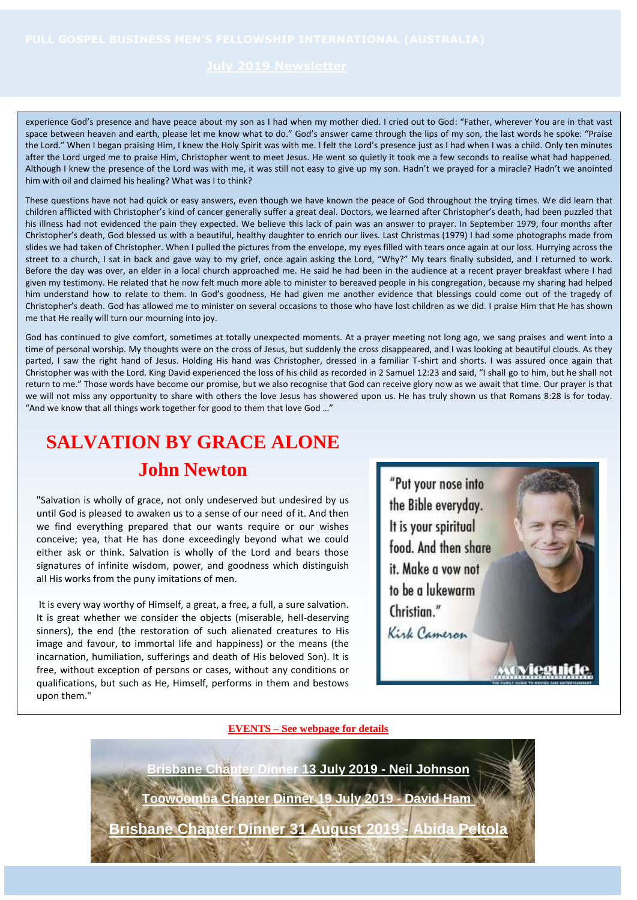experience God's presence and have peace about my son as I had when my mother died. I cried out to God: "Father, wherever You are in that vast space between heaven and earth, please let me know what to do." God's answer came through the lips of my son, the last words he spoke: "Praise the Lord." When I began praising Him, I knew the Holy Spirit was with me. I felt the Lord's presence just as I had when I was a child. Only ten minutes after the Lord urged me to praise Him, Christopher went to meet Jesus. He went so quietly it took me a few seconds to realise what had happened. Although I knew the presence of the Lord was with me, it was still not easy to give up my son. Hadn't we prayed for a miracle? Hadn't we anointed him with oil and claimed his healing? What was I to think?

These questions have not had quick or easy answers, even though we have known the peace of God throughout the trying times. We did learn that children afflicted with Christopher's kind of cancer generally suffer a great deal. Doctors, we learned after Christopher's death, had been puzzled that his illness had not evidenced the pain they expected. We believe this lack of pain was an answer to prayer. In September 1979, four months after Christopher's death, God blessed us with a beautiful, healthy daughter to enrich our lives. Last Christmas (1979) I had some photographs made from slides we had taken of Christopher. When I pulled the pictures from the envelope, my eyes filled with tears once again at our loss. Hurrying across the street to a church, I sat in back and gave way to my grief, once again asking the Lord, "Why?" My tears finally subsided, and I returned to work. Before the day was over, an elder in a local church approached me. He said he had been in the audience at a recent prayer breakfast where I had given my testimony. He related that he now felt much more able to minister to bereaved people in his congregation, because my sharing had helped him understand how to relate to them. In God's goodness, He had given me another evidence that blessings could come out of the tragedy of Christopher's death. God has allowed me to minister on several occasions to those who have lost children as we did. I praise Him that He has shown me that He really will turn our mourning into joy.

God has continued to give comfort, sometimes at totally unexpected moments. At a prayer meeting not long ago, we sang praises and went into a time of personal worship. My thoughts were on the cross of Jesus, but suddenly the cross disappeared, and I was looking at beautiful clouds. As they parted, I saw the right hand of Jesus. Holding His hand was Christopher, dressed in a familiar T-shirt and shorts. I was assured once again that Christopher was with the Lord. King David experienced the loss of his child as recorded in 2 Samuel 12:23 and said, "I shall go to him, but he shall not return to me." Those words have become our promise, but we also recognise that God can receive glory now as we await that time. Our prayer is that we will not miss any opportunity to share with others the love Jesus has showered upon us. He has truly shown us that Romans 8:28 is for today. "And we know that all things work together for good to them that love God …"

# **SALVATION BY GRACE ALONE**

## **John Newton**

"Salvation is wholly of grace, not only undeserved but undesired by us until God is pleased to awaken us to a sense of our need of it. And then we find everything prepared that our wants require or our wishes conceive; yea, that He has done exceedingly beyond what we could either ask or think. Salvation is wholly of the Lord and bears those signatures of infinite wisdom, power, and goodness which distinguish all His works from the puny imitations of men.

It is every way worthy of Himself, a great, a free, a full, a sure salvation. It is great whether we consider the objects (miserable, hell-deserving sinners), the end (the restoration of such alienated creatures to His image and favour, to immortal life and happiness) or the means (the incarnation, humiliation, sufferings and death of His beloved Son). It is free, without exception of persons or cases, without any conditions or qualifications, but such as He, Himself, performs in them and bestows upon them."



## **EVENTS – See webpage for details**